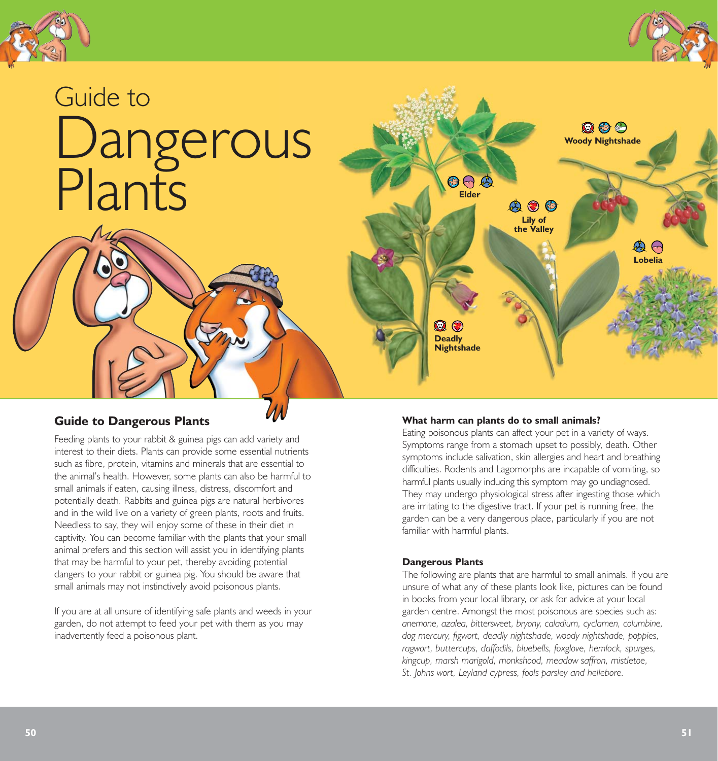



# Guide to Dangerous Plants



# **Guide to Dangerous Plants**

Feeding plants to your rabbit & guinea pigs can add variety and interest to their diets. Plants can provide some essential nutrients such as fibre, protein, vitamins and minerals that are essential to the animal's health. However, some plants can also be harmful to small animals if eaten, causing illness, distress, discomfort and potentially death. Rabbits and guinea pigs are natural herbivores and in the wild live on a variety of green plants, roots and fruits. Needless to say, they will enjoy some of these in their diet in captivity. You can become familiar with the plants that your small animal prefers and this section will assist you in identifying plants that may be harmful to your pet, thereby avoiding potential dangers to your rabbit or guinea pig. You should be aware that small animals may not instinctively avoid poisonous plants.

If you are at all unsure of identifying safe plants and weeds in your garden, do not attempt to feed your pet with them as you may inadvertently feed a poisonous plant.

# **What harm can plants do to small animals?**

Eating poisonous plants can affect your pet in a variety of ways. Symptoms range from a stomach upset to possibly, death. Other symptoms include salivation, skin allergies and heart and breathing difficulties. Rodents and Lagomorphs are incapable of vomiting, so harmful plants usually inducing this symptom may go undiagnosed. They may undergo physiological stress after ingesting those which are irritating to the digestive tract. If your pet is running free, the garden can be a very dangerous place, particularly if you are not familiar with harmful plants.

#### **Dangerous Plants**

The following are plants that are harmful to small animals. If you are unsure of what any of these plants look like, pictures can be found in books from your local library, or ask for advice at your local garden centre. Amongst the most poisonous are species such as: *anemone, azalea, bittersweet, bryony, caladium, cyclamen, columbine, dog mercury, figwort, deadly nightshade, woody nightshade, poppies, ragwort, buttercups, daffodils, bluebells, foxglove, hemlock, spurges, kingcup, marsh marigold, monkshood, meadow saffron, mistletoe, St. Johns wort, Leyland cypress, fools parsley and hellebore.*